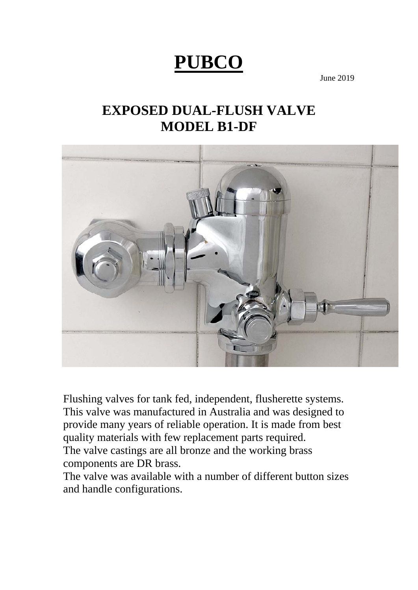# **PUBCO**

June 2019

# **EXPOSED DUAL-FLUSH VALVE MODEL B1-DF**



Flushing valves for tank fed, independent, flusherette systems. This valve was manufactured in Australia and was designed to provide many years of reliable operation. It is made from best quality materials with few replacement parts required.

The valve castings are all bronze and the working brass components are DR brass.

The valve was available with a number of different button sizes and handle configurations.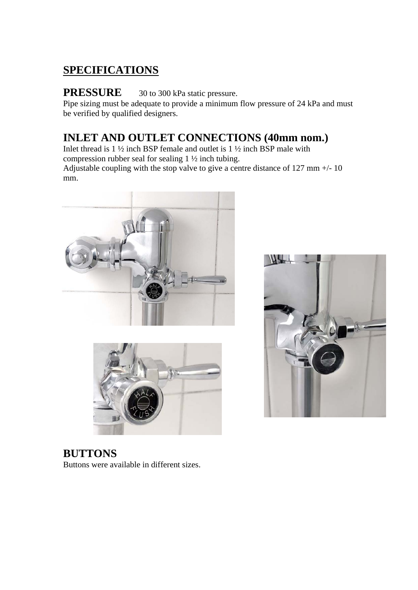## **SPECIFICATIONS**

### **PRESSURE** 30 to 300 kPa static pressure.

Pipe sizing must be adequate to provide a minimum flow pressure of 24 kPa and must be verified by qualified designers.

### **INLET AND OUTLET CONNECTIONS (40mm nom.)**

Inlet thread is 1 ½ inch BSP female and outlet is 1 ½ inch BSP male with compression rubber seal for sealing 1 ½ inch tubing. Adjustable coupling with the stop valve to give a centre distance of 127 mm +/- 10 mm.







**BUTTONS**  Buttons were available in different sizes.